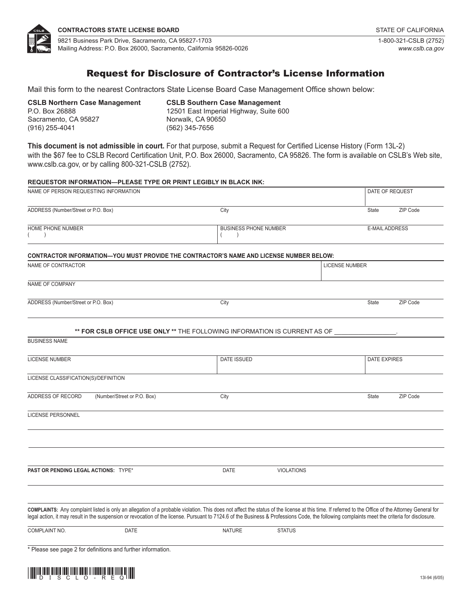

# Request for Disclosure of Contractor's License Information

Mail this form to the nearest Contractors State License Board Case Management Office shown below:

**CSLB Northern Case Management** P.O. Box 26888 Sacramento, CA 95827 (916) 255-4041

#### **CSLB Southern Case Management** 12501 East Imperial Highway, Suite 600 Norwalk, CA 90650 (562) 345-7656

**This document is not admissible in court.** For that purpose, submit a Request for Certified License History (Form 13L-2) with the \$67 fee to CSLB Record Certification Unit, P.O. Box 26000, Sacramento, CA 95826. The form is available on CSLB's Web site, [www.cslb.ca.gov,](http://www.cslb.ca.gov/) or by calling 800-321-CSLB (2752).

**REQUESTOR INFORMATION—PLEASE TYPE OR PRINT LEGIBLY IN BLACK INK:**

| NAME OF PERSON REQUESTING INFORMATION          |                                                              |                                                                                                                                                                                                                                                                                                                                                                                                     |                              | DATE OF REQUEST       |                       |  |
|------------------------------------------------|--------------------------------------------------------------|-----------------------------------------------------------------------------------------------------------------------------------------------------------------------------------------------------------------------------------------------------------------------------------------------------------------------------------------------------------------------------------------------------|------------------------------|-----------------------|-----------------------|--|
| ADDRESS (Number/Street or P.O. Box)            |                                                              | City                                                                                                                                                                                                                                                                                                                                                                                                |                              | <b>State</b>          | ZIP Code              |  |
| <b>HOME PHONE NUMBER</b><br>(<br>$\rightarrow$ |                                                              | $\left($<br>$\lambda$                                                                                                                                                                                                                                                                                                                                                                               | <b>BUSINESS PHONE NUMBER</b> |                       | <b>E-MAIL ADDRESS</b> |  |
|                                                |                                                              | CONTRACTOR INFORMATION—YOU MUST PROVIDE THE CONTRACTOR'S NAME AND LICENSE NUMBER BELOW:                                                                                                                                                                                                                                                                                                             |                              |                       |                       |  |
| NAME OF CONTRACTOR                             |                                                              |                                                                                                                                                                                                                                                                                                                                                                                                     |                              | <b>LICENSE NUMBER</b> |                       |  |
| NAME OF COMPANY                                |                                                              |                                                                                                                                                                                                                                                                                                                                                                                                     |                              |                       |                       |  |
| ADDRESS (Number/Street or P.O. Box)            |                                                              | City                                                                                                                                                                                                                                                                                                                                                                                                |                              | <b>State</b>          | ZIP Code              |  |
|                                                |                                                              | ** FOR CSLB OFFICE USE ONLY ** THE FOLLOWING INFORMATION IS CURRENT AS OF                                                                                                                                                                                                                                                                                                                           |                              |                       |                       |  |
| <b>BUSINESS NAME</b>                           |                                                              |                                                                                                                                                                                                                                                                                                                                                                                                     |                              |                       |                       |  |
| <b>LICENSE NUMBER</b>                          |                                                              | <b>DATE ISSUED</b>                                                                                                                                                                                                                                                                                                                                                                                  |                              |                       | <b>DATE EXPIRES</b>   |  |
| LICENSE CLASSIFICATION(S)/DEFINITION           |                                                              |                                                                                                                                                                                                                                                                                                                                                                                                     |                              |                       |                       |  |
| ADDRESS OF RECORD                              | (Number/Street or P.O. Box)                                  | City                                                                                                                                                                                                                                                                                                                                                                                                |                              | State                 | ZIP Code              |  |
| <b>LICENSE PERSONNEL</b>                       |                                                              |                                                                                                                                                                                                                                                                                                                                                                                                     |                              |                       |                       |  |
|                                                |                                                              |                                                                                                                                                                                                                                                                                                                                                                                                     |                              |                       |                       |  |
|                                                |                                                              |                                                                                                                                                                                                                                                                                                                                                                                                     |                              |                       |                       |  |
| PAST OR PENDING LEGAL ACTIONS: TYPE*           |                                                              | DATE                                                                                                                                                                                                                                                                                                                                                                                                | <b>VIOLATIONS</b>            |                       |                       |  |
|                                                |                                                              | COMPLAINTS: Any complaint listed is only an allegation of a probable violation. This does not affect the status of the license at this time. If referred to the Office of the Attorney General for<br>legal action, it may result in the suspension or revocation of the license. Pursuant to 7124.6 of the Business & Professions Code, the following complaints meet the criteria for disclosure. |                              |                       |                       |  |
| COMPLAINT NO.                                  | <b>DATE</b>                                                  | <b>NATURE</b>                                                                                                                                                                                                                                                                                                                                                                                       | <b>STATUS</b>                |                       |                       |  |
|                                                | * Please see page 2 for definitions and further information. |                                                                                                                                                                                                                                                                                                                                                                                                     |                              |                       |                       |  |